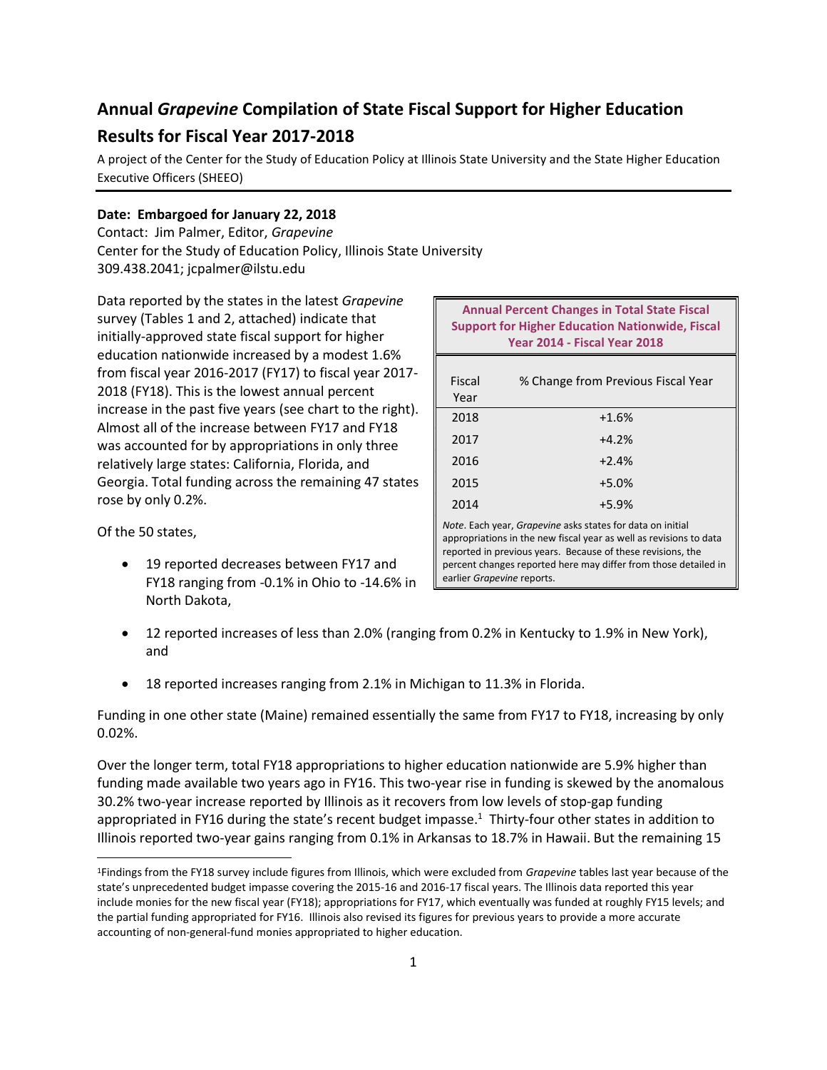# **Annual** *Grapevine* **Compilation of State Fiscal Support for Higher Education Results for Fiscal Year 2017-2018**

A project of the Center for the Study of Education Policy at Illinois State University and the State Higher Education Executive Officers (SHEEO)

## **Date: Embargoed for January 22, 2018**

Contact: Jim Palmer, Editor, *Grapevine* Center for the Study of Education Policy, Illinois State University 309.438.2041; jcpalmer@ilstu.edu

Data reported by the states in the latest *Grapevine* survey (Tables 1 and 2, attached) indicate that initially-approved state fiscal support for higher education nationwide increased by a modest 1.6% from fiscal year 2016-2017 (FY17) to fiscal year 2017- 2018 (FY18). This is the lowest annual percent increase in the past five years (see chart to the right). Almost all of the increase between FY17 and FY18 was accounted for by appropriations in only three relatively large states: California, Florida, and Georgia. Total funding across the remaining 47 states rose by only 0.2%.

Of the 50 states,

 $\overline{\phantom{a}}$ 

• 19 reported decreases between FY17 and FY18 ranging from -0.1% in Ohio to -14.6% in North Dakota,

| <b>Annual Percent Changes in Total State Fiscal</b><br><b>Support for Higher Education Nationwide, Fiscal</b><br><b>Year 2014 - Fiscal Year 2018</b>                                                                                                                                             |                                    |
|--------------------------------------------------------------------------------------------------------------------------------------------------------------------------------------------------------------------------------------------------------------------------------------------------|------------------------------------|
| Fiscal<br>Year                                                                                                                                                                                                                                                                                   | % Change from Previous Fiscal Year |
| 2018                                                                                                                                                                                                                                                                                             | $+1.6%$                            |
| 2017                                                                                                                                                                                                                                                                                             | $+4.2%$                            |
| 2016                                                                                                                                                                                                                                                                                             | $+2.4%$                            |
| 2015                                                                                                                                                                                                                                                                                             | $+5.0%$                            |
| 2014                                                                                                                                                                                                                                                                                             | $+5.9%$                            |
| Note. Each year, Grapevine asks states for data on initial<br>appropriations in the new fiscal year as well as revisions to data<br>reported in previous years. Because of these revisions, the<br>percent changes reported here may differ from those detailed in<br>earlier Grapevine reports. |                                    |

- 12 reported increases of less than 2.0% (ranging from 0.2% in Kentucky to 1.9% in New York), and
- 18 reported increases ranging from 2.1% in Michigan to 11.3% in Florida.

Funding in one other state (Maine) remained essentially the same from FY17 to FY18, increasing by only 0.02%.

Over the longer term, total FY18 appropriations to higher education nationwide are 5.9% higher than funding made available two years ago in FY16. This two-year rise in funding is skewed by the anomalous 30.2% two-year increase reported by Illinois as it recovers from low levels of stop-gap funding appropriated in FY16 during the state's recent budget impasse.<sup>1</sup> Thirty-four other states in addition to Illinois reported two-year gains ranging from 0.1% in Arkansas to 18.7% in Hawaii. But the remaining 15

<sup>1</sup>Findings from the FY18 survey include figures from Illinois, which were excluded from *Grapevine* tables last year because of the state's unprecedented budget impasse covering the 2015-16 and 2016-17 fiscal years. The Illinois data reported this year include monies for the new fiscal year (FY18); appropriations for FY17, which eventually was funded at roughly FY15 levels; and the partial funding appropriated for FY16. Illinois also revised its figures for previous years to provide a more accurate accounting of non-general-fund monies appropriated to higher education.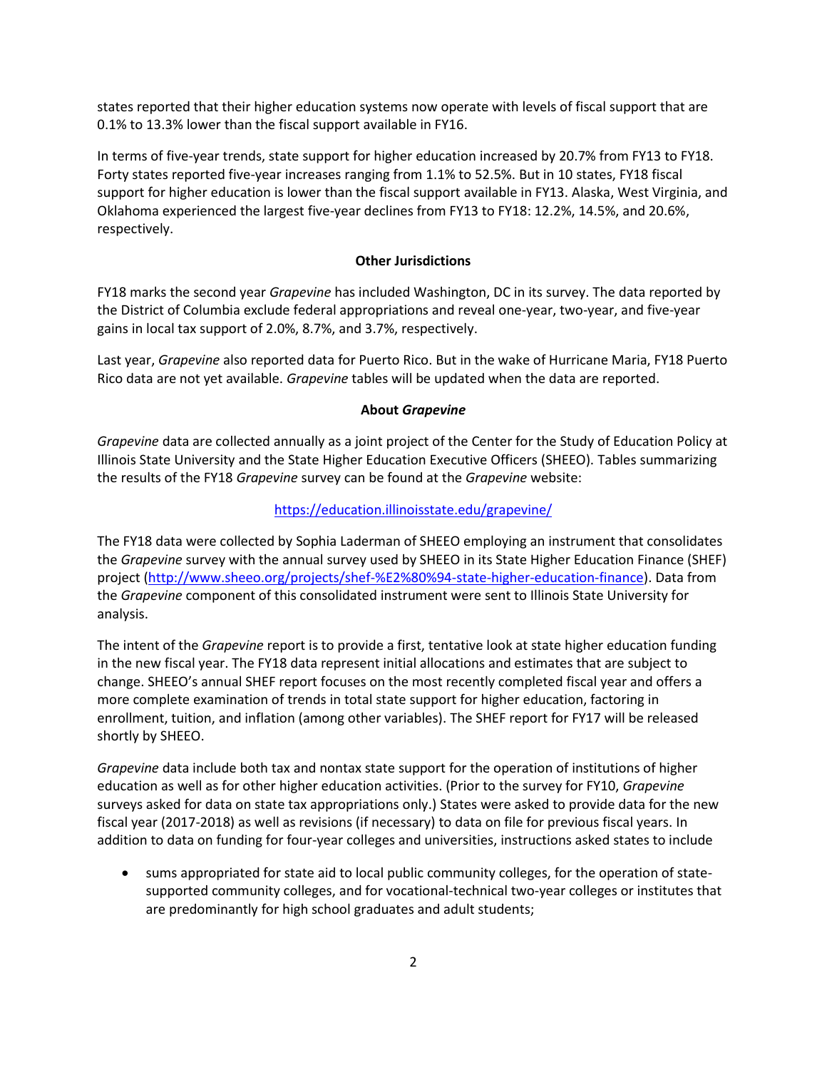states reported that their higher education systems now operate with levels of fiscal support that are 0.1% to 13.3% lower than the fiscal support available in FY16.

In terms of five-year trends, state support for higher education increased by 20.7% from FY13 to FY18. Forty states reported five-year increases ranging from 1.1% to 52.5%. But in 10 states, FY18 fiscal support for higher education is lower than the fiscal support available in FY13. Alaska, West Virginia, and Oklahoma experienced the largest five-year declines from FY13 to FY18: 12.2%, 14.5%, and 20.6%, respectively.

### **Other Jurisdictions**

FY18 marks the second year *Grapevine* has included Washington, DC in its survey. The data reported by the District of Columbia exclude federal appropriations and reveal one-year, two-year, and five-year gains in local tax support of 2.0%, 8.7%, and 3.7%, respectively.

Last year, *Grapevine* also reported data for Puerto Rico. But in the wake of Hurricane Maria, FY18 Puerto Rico data are not yet available. *Grapevine* tables will be updated when the data are reported.

#### **About** *Grapevine*

*Grapevine* data are collected annually as a joint project of the Center for the Study of Education Policy at Illinois State University and the State Higher Education Executive Officers (SHEEO). Tables summarizing the results of the FY18 *Grapevine* survey can be found at the *Grapevine* website:

## <https://education.illinoisstate.edu/grapevine/>

The FY18 data were collected by Sophia Laderman of SHEEO employing an instrument that consolidates the *Grapevine* survey with the annual survey used by SHEEO in its State Higher Education Finance (SHEF) project [\(http://www.sheeo.org/projects/shef-%E2%80%94-state-higher-education-finance\)](http://www.sheeo.org/projects/shef-%E2%80%94-state-higher-education-finance). Data from the *Grapevine* component of this consolidated instrument were sent to Illinois State University for analysis.

The intent of the *Grapevine* report is to provide a first, tentative look at state higher education funding in the new fiscal year. The FY18 data represent initial allocations and estimates that are subject to change. SHEEO's annual SHEF report focuses on the most recently completed fiscal year and offers a more complete examination of trends in total state support for higher education, factoring in enrollment, tuition, and inflation (among other variables). The SHEF report for FY17 will be released shortly by SHEEO.

*Grapevine* data include both tax and nontax state support for the operation of institutions of higher education as well as for other higher education activities. (Prior to the survey for FY10, *Grapevine* surveys asked for data on state tax appropriations only.) States were asked to provide data for the new fiscal year (2017-2018) as well as revisions (if necessary) to data on file for previous fiscal years. In addition to data on funding for four-year colleges and universities, instructions asked states to include

 sums appropriated for state aid to local public community colleges, for the operation of statesupported community colleges, and for vocational-technical two-year colleges or institutes that are predominantly for high school graduates and adult students;